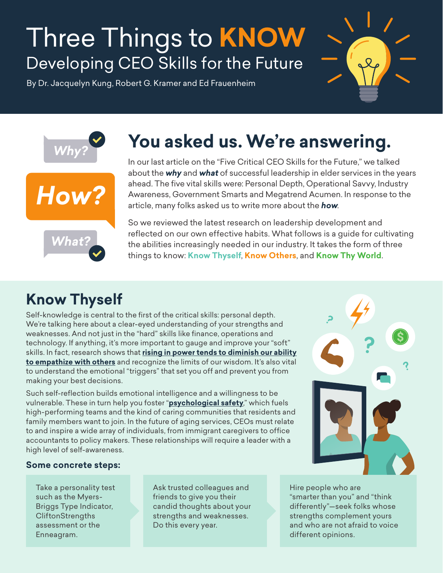# Three Things to **KNOW** Developing CEO Skills for the Future

By Dr. Jacquelyn Kung, Robert G. Kramer and Ed Frauenheim







## **You asked us. We're answering.**

In our last article on the "Five Critical CEO Skills for the Future," we talked about the *why* and *what* of successful leadership in elder services in the years ahead. The five vital skills were: Personal Depth, Operational Savvy, Industry Awareness, Government Smarts and Megatrend Acumen. In response to the article, many folks asked us to write more about the *how*.

So we reviewed the latest research on leadership development and reflected on our own effective habits. What follows is a guide for cultivating the abilities increasingly needed in our industry. It takes the form of three things to know: **Know Thyself**, **Know Others**, and **Know Thy World**.

### **Know Thyself**

Self-knowledge is central to the first of the critical skills: personal depth. We're talking here about a clear-eyed understanding of your strengths and weaknesses. And not just in the "hard" skills like finance, operations and technology. If anything, it's more important to gauge and improve your "soft" skills. In fact, research shows that **[rising in power tends to diminish our ability](https://www.theatlantic.com/magazine/archive/2017/07/power-causes-brain-damage/528711/) [to empathize with others](https://www.theatlantic.com/magazine/archive/2017/07/power-causes-brain-damage/528711/)** and recognize the limits of our wisdom. It's also vital to understand the emotional "triggers" that set you off and prevent you from making your best decisions.

Such self-reflection builds emotional intelligence and a willingness to be vulnerable. These in turn help you foster "**[psychological safety](https://www.nytimes.com/2016/02/28/magazine/what-google-learned-from-its-quest-to-build-the-perfect-team.html)**," which fuels high-performing teams and the kind of caring communities that residents and family members want to join. In the future of aging services, CEOs must relate to and inspire a wide array of individuals, from immigrant caregivers to office accountants to policy makers. These relationships will require a leader with a high level of self-awareness.



#### **Some concrete steps:**

Take a personality test such as the Myers-Briggs Type Indicator, **CliftonStrengths** assessment or the Enneagram.

Ask trusted colleagues and friends to give you their candid thoughts about your strengths and weaknesses. Do this every year.

Hire people who are "smarter than you" and "think differently"—seek folks whose strengths complement yours and who are not afraid to voice different opinions.